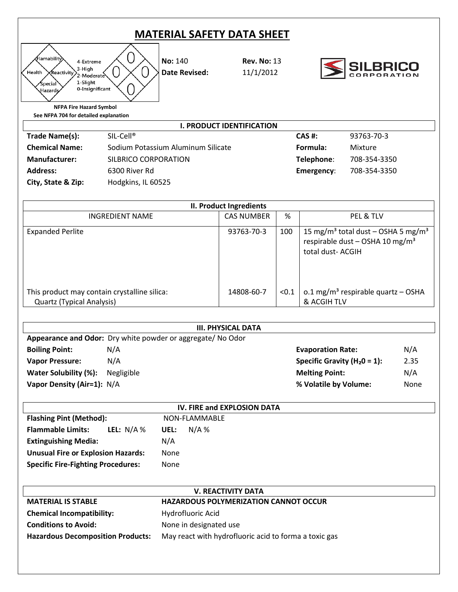## **MATERIAL SAFETY DATA SHEET**



**No:** 140 **Rev. No:** 13 **Date Revised:** 11/1/2012



**NFPA Fire Hazard Symbol See NFPA 704 for detailed explanation**

| <b>I. PRODUCT IDENTIFICATION</b> |                                    |            |              |
|----------------------------------|------------------------------------|------------|--------------|
| Trade Name(s):                   | $SIL-Cell^{\circ}$                 | CAS #:     | 93763-70-3   |
| <b>Chemical Name:</b>            | Sodium Potassium Aluminum Silicate | Formula:   | Mixture      |
| <b>Manufacturer:</b>             | SILBRICO CORPORATION               | Telephone: | 708-354-3350 |
| <b>Address:</b>                  | 6300 River Rd                      | Emergency: | 708-354-3350 |
| City, State & Zip:               | Hodgkins, IL 60525                 |            |              |

| II. Product Ingredients                      |                   |       |                                                                                                                               |
|----------------------------------------------|-------------------|-------|-------------------------------------------------------------------------------------------------------------------------------|
| INGREDIENT NAME                              | <b>CAS NUMBER</b> | %     | PEL & TLV                                                                                                                     |
| <b>Expanded Perlite</b>                      | 93763-70-3        | 100   | 15 mg/m <sup>3</sup> total dust – OSHA 5 mg/m <sup>3</sup><br>respirable dust - OSHA 10 mg/m <sup>3</sup><br>total dust-ACGIH |
| This product may contain crystalline silica: | 14808-60-7        | < 0.1 | o.1 mg/m <sup>3</sup> respirable quartz - OSHA                                                                                |
| <b>Quartz (Typical Analysis)</b>             |                   |       | & ACGIH TLV                                                                                                                   |

| <b>III. PHYSICAL DATA</b>  |                                                            |                                  |      |
|----------------------------|------------------------------------------------------------|----------------------------------|------|
|                            | Appearance and Odor: Dry white powder or aggregate/No Odor |                                  |      |
| <b>Boiling Point:</b>      | N/A                                                        | <b>Evaporation Rate:</b>         | N/A  |
| <b>Vapor Pressure:</b>     | N/A                                                        | Specific Gravity ( $H_2$ 0 = 1): | 2.35 |
| Water Solubility (%):      | Negligible                                                 | <b>Melting Point:</b>            | N/A  |
| Vapor Density (Air=1): N/A |                                                            | % Volatile by Volume:            | None |
|                            |                                                            |                                  |      |

| IV. FIRE and EXPLOSION DATA               |                 |  |
|-------------------------------------------|-----------------|--|
| <b>Flashing Pint (Method):</b>            | NON-FLAMMABLE   |  |
| LEL: $N/A$ %<br><b>Flammable Limits:</b>  | $N/A$ %<br>UEL: |  |
| N/A<br><b>Extinguishing Media:</b>        |                 |  |
| <b>Unusual Fire or Explosion Hazards:</b> | None            |  |
| <b>Specific Fire-Fighting Procedures:</b> | None            |  |

| <b>V. REACTIVITY DATA</b>                |                                                       |  |  |
|------------------------------------------|-------------------------------------------------------|--|--|
| <b>MATERIAL IS STABLE</b>                | <b>HAZARDOUS POLYMERIZATION CANNOT OCCUR</b>          |  |  |
| <b>Chemical Incompatibility:</b>         | Hydrofluoric Acid                                     |  |  |
| <b>Conditions to Avoid:</b>              | None in designated use                                |  |  |
| <b>Hazardous Decomposition Products:</b> | May react with hydrofluoric acid to forma a toxic gas |  |  |
|                                          |                                                       |  |  |